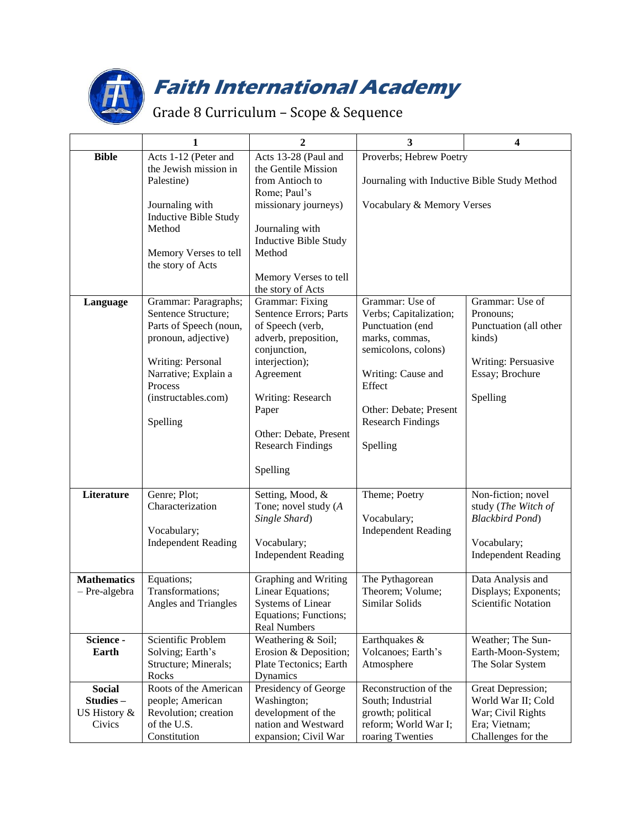

## **Faith International Academy**

## Grade 8 Curriculum – Scope & Sequence

|                    | $\mathbf{1}$                                    | $\mathbf{2}$                                | 3                                            | $\overline{\mathbf{4}}$                   |
|--------------------|-------------------------------------------------|---------------------------------------------|----------------------------------------------|-------------------------------------------|
| <b>Bible</b>       | Acts 1-12 (Peter and                            | Acts 13-28 (Paul and                        | Proverbs; Hebrew Poetry                      |                                           |
|                    | the Jewish mission in                           | the Gentile Mission                         |                                              |                                           |
|                    | Palestine)                                      | from Antioch to                             | Journaling with Inductive Bible Study Method |                                           |
|                    |                                                 | Rome; Paul's<br>missionary journeys)        | Vocabulary & Memory Verses                   |                                           |
|                    | Journaling with<br><b>Inductive Bible Study</b> |                                             |                                              |                                           |
|                    | Method                                          | Journaling with                             |                                              |                                           |
|                    |                                                 | Inductive Bible Study                       |                                              |                                           |
|                    | Memory Verses to tell                           | Method                                      |                                              |                                           |
|                    | the story of Acts                               |                                             |                                              |                                           |
|                    |                                                 | Memory Verses to tell                       |                                              |                                           |
|                    |                                                 | the story of Acts                           |                                              |                                           |
| Language           | Grammar: Paragraphs;<br>Sentence Structure;     | Grammar: Fixing<br>Sentence Errors; Parts   | Grammar: Use of<br>Verbs; Capitalization;    | Grammar: Use of<br>Pronouns;              |
|                    | Parts of Speech (noun,                          | of Speech (verb,                            | Punctuation (end                             | Punctuation (all other                    |
|                    | pronoun, adjective)                             | adverb, preposition,                        | marks, commas,                               | kinds)                                    |
|                    |                                                 | conjunction,                                | semicolons, colons)                          |                                           |
|                    | Writing: Personal                               | interjection);                              |                                              | Writing: Persuasive                       |
|                    | Narrative; Explain a                            | Agreement                                   | Writing: Cause and                           | Essay; Brochure                           |
|                    | Process                                         |                                             | Effect                                       |                                           |
|                    | (instructables.com)                             | Writing: Research                           | Other: Debate; Present                       | Spelling                                  |
|                    | Spelling                                        | Paper                                       | <b>Research Findings</b>                     |                                           |
|                    |                                                 | Other: Debate, Present                      |                                              |                                           |
|                    |                                                 | <b>Research Findings</b>                    | Spelling                                     |                                           |
|                    |                                                 |                                             |                                              |                                           |
|                    |                                                 | Spelling                                    |                                              |                                           |
| Literature         | Genre; Plot;                                    | Setting, Mood, &                            | Theme; Poetry                                | Non-fiction; novel                        |
|                    | Characterization                                | Tone; novel study (A                        |                                              | study (The Witch of                       |
|                    |                                                 | Single Shard)                               | Vocabulary;                                  | <b>Blackbird Pond</b> )                   |
|                    | Vocabulary;                                     |                                             | <b>Independent Reading</b>                   |                                           |
|                    | <b>Independent Reading</b>                      | Vocabulary;<br><b>Independent Reading</b>   |                                              | Vocabulary;<br><b>Independent Reading</b> |
|                    |                                                 |                                             |                                              |                                           |
| <b>Mathematics</b> | Equations;                                      | Graphing and Writing                        | The Pythagorean                              | Data Analysis and                         |
| - Pre-algebra      | Transformations;                                | Linear Equations;                           | Theorem; Volume;                             | Displays; Exponents;                      |
|                    | Angles and Triangles                            | <b>Systems of Linear</b>                    | Similar Solids                               | Scientific Notation                       |
|                    |                                                 | Equations; Functions;                       |                                              |                                           |
|                    |                                                 | <b>Real Numbers</b>                         |                                              |                                           |
| Science -<br>Earth | Scientific Problem<br>Solving; Earth's          | Weathering & Soil;<br>Erosion & Deposition; | Earthquakes &<br>Volcanoes; Earth's          | Weather; The Sun-<br>Earth-Moon-System;   |
|                    | Structure; Minerals;                            | Plate Tectonics; Earth                      | Atmosphere                                   | The Solar System                          |
|                    | Rocks                                           | Dynamics                                    |                                              |                                           |
| <b>Social</b>      | Roots of the American                           | Presidency of George                        | Reconstruction of the                        | Great Depression;                         |
| Studies-           | people; American                                | Washington;                                 | South; Industrial                            | World War II; Cold                        |
| US History &       | Revolution; creation                            | development of the                          | growth; political                            | War; Civil Rights                         |
| Civics             | of the U.S.                                     | nation and Westward                         | reform; World War I;                         | Era; Vietnam;                             |
|                    | Constitution                                    | expansion; Civil War                        | roaring Twenties                             | Challenges for the                        |